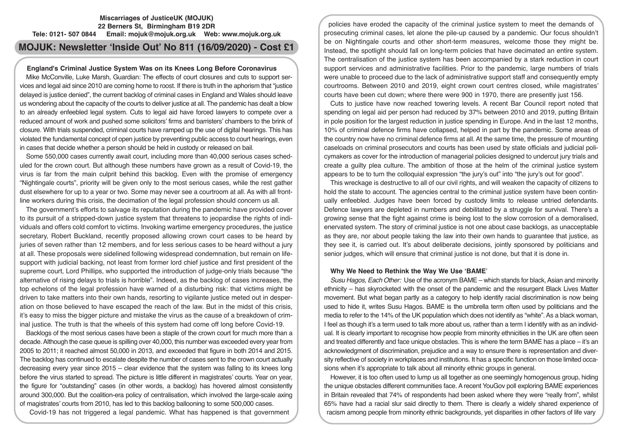# **Miscarriages of JusticeUK (MOJUK) 22 Berners St, Birmingham B19 2DR Tele: 0121- 507 0844 Email: mojuk@mojuk.org.uk Web: www.mojuk.org.uk**

# **MOJUK: Newsletter 'Inside Out' No 811 (16/09/2020) - Cost £1**

# **England's Criminal Justice System Was on its Knees Long Before Coronavirus**

Mike McConville, Luke Marsh, Guardian: The effects of court closures and cuts to support services and legal aid since 2010 are coming home to roost. If there is truth in the aphorism that "justice delayed is justice denied", the current backlog of criminal cases in England and Wales should leave us wondering about the capacity of the courts to deliver justice at all. The pandemic has dealt a blow to an already enfeebled legal system. Cuts to legal aid have forced lawyers to compete over a reduced amount of work and pushed some solicitors' firms and barristers' chambers to the brink of closure. With trials suspended, criminal courts have ramped up the use of digital hearings. This has violated the fundamental concept of open justice by preventing public access to court hearings, even in cases that decide whether a person should be held in custody or released on bail.

Some 550,000 cases currently await court, including more than 40,000 serious cases scheduled for the crown court. But although these numbers have grown as a result of Covid-19, the virus is far from the main culprit behind this backlog. Even with the promise of emergency "Nightingale courts", priority will be given only to the most serious cases, while the rest gather dust elsewhere for up to a year or two. Some may never see a courtroom at all. As with all frontline workers during this crisis, the decimation of the legal profession should concern us all.

The government's efforts to salvage its reputation during the pandemic have provided cover to its pursuit of a stripped-down justice system that threatens to jeopardise the rights of individuals and offers cold comfort to victims. Invoking wartime emergency procedures, the justice secretary, Robert Buckland, recently proposed allowing crown court cases to be heard by juries of seven rather than 12 members, and for less serious cases to be heard without a jury at all. These proposals were sidelined following widespread condemnation, but remain on lifesupport with judicial backing, not least from former lord chief justice and first president of the supreme court, Lord Phillips, who supported the introduction of judge-only trials because "the alternative of rising delays to trials is horrible". Indeed, as the backlog of cases increases, the top echelons of the legal profession have warned of a disturbing risk: that victims might be driven to take matters into their own hands, resorting to vigilante justice meted out in desperation on those believed to have escaped the reach of the law. But in the midst of this crisis, it's easy to miss the bigger picture and mistake the virus as the cause of a breakdown of criminal justice. The truth is that the wheels of this system had come off long before Covid-19.

Backlogs of the most serious cases have been a staple of the crown court for much more than a decade. Although the case queue is spilling over 40,000, this number was exceeded every year from 2005 to 2011; it reached almost 50,000 in 2013, and exceeded that figure in both 2014 and 2015. The backlog has continued to escalate despite the number of cases sent to the crown court actually decreasing every year since 2015 – clear evidence that the system was falling to its knees long before the virus started to spread. The picture is little different in magistrates' courts. Year on year, the figure for "outstanding" cases (in other words, a backlog) has hovered almost consistently around 300,000. But the coalition-era policy of centralisation, which involved the large-scale axing of magistrates' courts from 2010, has led to this backlog ballooning to some 500,000 cases.

Covid-19 has not triggered a legal pandemic. What has happened is that government

policies have eroded the capacity of the criminal justice system to meet the demands of prosecuting criminal cases, let alone the pile-up caused by a pandemic. Our focus shouldn't be on Nightingale courts and other short-term measures, welcome those they might be. Instead, the spotlight should fall on long-term policies that have decimated an entire system. The centralisation of the justice system has been accompanied by a stark reduction in court support services and administrative facilities. Prior to the pandemic, large numbers of trials were unable to proceed due to the lack of administrative support staff and consequently empty courtrooms. Between 2010 and 2019, eight crown court centres closed, while magistrates' courts have been cut down; where there were 900 in 1970, there are presently just 156.

Cuts to justice have now reached towering levels. A recent Bar Council report noted that spending on legal aid per person had reduced by 37% between 2010 and 2019, putting Britain in pole position for the largest reduction in justice spending in Europe. And in the last 12 months, 10% of criminal defence firms have collapsed, helped in part by the pandemic. Some areas of the country now have no criminal defence firms at all. At the same time, the pressure of mounting caseloads on criminal prosecutors and courts has been used by state officials and judicial policymakers as cover for the introduction of managerial policies designed to undercut jury trials and create a guilty plea culture. The ambition of those at the helm of the criminal justice system appears to be to turn the colloquial expression "the jury's out" into "the jury's out for good".

This wreckage is destructive to all of our civil rights, and will weaken the capacity of citizens to hold the state to account. The agencies central to the criminal justice system have been continually enfeebled. Judges have been forced by custody limits to release untried defendants. Defence lawyers are depleted in numbers and debilitated by a struggle for survival. There's a growing sense that the fight against crime is being lost to the slow corrosion of a demoralised, enervated system. The story of criminal justice is not one about case backlogs, as unacceptable as they are, nor about people taking the law into their own hands to guarantee that justice, as they see it, is carried out. It's about deliberate decisions, jointly sponsored by politicians and senior judges, which will ensure that criminal justice is not done, but that it is done in.

## **Why We Need to Rethink the Way We Use 'BAME**'

*Susu Hagos, Each Other:* Use of the acronym BAME – which stands for black, Asian and minority ethnicity – has skyrocketed with the onset of the pandemic and the resurgent Black Lives Matter movement. But what began partly as a category to help identify racial discrimination is now being used to hide it, writes Susu Hagos. BAME is the umbrella term often used by politicians and the media to refer to the 14% of the UK population which does not identify as "white". As a black woman, I feel as though it's a term used to talk more about us, rather than a term I identify with as an individual. It is clearly important to recognise how people from minority ethnicities in the UK are often seen and treated differently and face unique obstacles. This is where the term BAME has a place – it's an acknowledgment of discrimination, prejudice and a way to ensure there is representation and diversity reflective of society in workplaces and institutions. It has a specific function on those limited occasions when it's appropriate to talk about all minority ethnic groups in general.

However, it is too often used to lump us all together as one seemingly homogenous group, hiding the unique obstacles different communities face. A recent YouGov poll exploring BAME experiences in Britain revealed that 74% of respondents had been asked where they were "really from", whilst 65% have had a racial slur said directly to them. There is clearly a widely shared experience of racism among people from minority ethnic backgrounds, yet disparities in other factors of life vary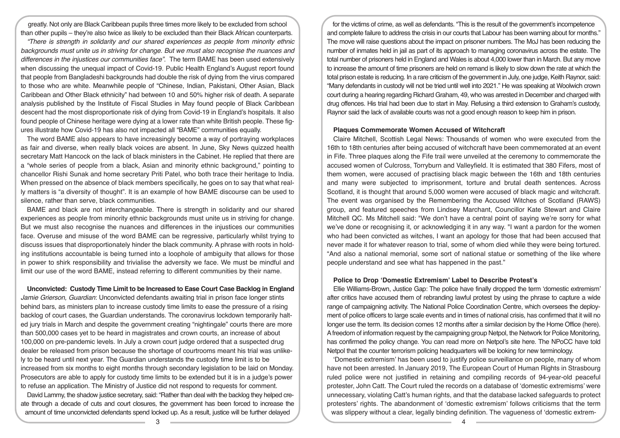greatly. Not only are Black Caribbean pupils three times more likely to be excluded from school than other pupils – they're also twice as likely to be excluded than their Black African counterparts.

*"There is strength in solidarity and our shared experiences as people from minority ethnic backgrounds must unite us in striving for change. But we must also recognise the nuances and differences in the injustices our communities face"*. The term BAME has been used extensively when discussing the unequal impact of Covid-19. Public Health England's August report found that people from Bangladeshi backgrounds had double the risk of dying from the virus compared to those who are white. Meanwhile people of "Chinese, Indian, Pakistani, Other Asian, Black Caribbean and Other Black ethnicity" had between 10 and 50% higher risk of death. A separate analysis published by the Institute of Fiscal Studies in May found people of Black Caribbean descent had the most disproportionate risk of dying from Covid-19 in England's hospitals. It also found people of Chinese heritage were dying at a lower rate than white British people. These figures illustrate how Covid-19 has also not impacted all "BAME" communities equally.

The word BAME also appears to have increasingly become a way of portraying workplaces as fair and diverse, when really black voices are absent. In June, Sky News quizzed health secretary Matt Hancock on the lack of black ministers in the Cabinet. He replied that there are a "whole series of people from a black, Asian and minority ethnic background," pointing to chancellor Rishi Sunak and home secretary Priti Patel, who both trace their heritage to India. When pressed on the absence of black members specifically, he goes on to say that what really matters is "a diversity of thought". It is an example of how BAME discourse can be used to silence, rather than serve, black communities.

BAME and black are not interchangeable. There is strength in solidarity and our shared experiences as people from minority ethnic backgrounds must unite us in striving for change. But we must also recognise the nuances and differences in the injustices our communities face. Overuse and misuse of the word BAME can be regressive, particularly whilst trying to discuss issues that disproportionately hinder the black community. A phrase with roots in holding institutions accountable is being turned into a loophole of ambiguity that allows for those in power to shirk responsibility and trivialise the adversity we face. We must be mindful and limit our use of the word BAME, instead referring to different communities by their name.

**Unconvicted: Custody Time Limit to be Increased to Ease Court Case Backlog in England**  *Jamie Grierson, Guardian*: Unconvicted defendants awaiting trial in prison face longer stints behind bars, as ministers plan to increase custody time limits to ease the pressure of a rising backlog of court cases, the Guardian understands. The coronavirus lockdown temporarily halted jury trials in March and despite the government creating "nightingale" courts there are more than 500,000 cases yet to be heard in magistrates and crown courts, an increase of about 100,000 on pre-pandemic levels. In July a crown court judge ordered that a suspected drug dealer be released from prison because the shortage of courtrooms meant his trial was unlikely to be heard until next year. The Guardian understands the custody time limit is to be increased from six months to eight months through secondary legislation to be laid on Monday. Prosecutors are able to apply for custody time limits to be extended but it is in a judge's power to refuse an application. The Ministry of Justice did not respond to requests for comment.

David Lammy, the shadow justice secretary, said: "Rather than deal with the backlog they helped create through a decade of cuts and court closures, the government has been forced to increase the amount of time unconvicted defendants spend locked up. As a result, justice will be further delayed

for the victims of crime, as well as defendants. "This is the result of the government's incompetence and complete failure to address the crisis in our courts that Labour has been warning about for months." The move will raise questions about the impact on prisoner numbers. The MoJ has been reducing the number of inmates held in jail as part of its approach to managing coronavirus across the estate. The total number of prisoners held in England and Wales is about 4,000 lower than in March. But any move to increase the amount of time prisoners are held on remand is likely to slow down the rate at which the total prison estate is reducing. In a rare criticism of the government in July, one judge, Keith Raynor, said: "Many defendants in custody will not be tried until well into 2021." He was speaking at Woolwich crown court during a hearing regarding Richard Graham, 49, who was arrested in December and charged with drug offences. His trial had been due to start in May. Refusing a third extension to Graham's custody, Raynor said the lack of available courts was not a good enough reason to keep him in prison.

#### **Plaques Commemorate Women Accused of Witchcraft**

Claire Mitchell, Scottish Legal News: Thousands of women who were executed from the 16th to 18th centuries after being accused of witchcraft have been commemorated at an event in Fife. Three plaques along the Fife trail were unveiled at the ceremony to commemorate the accused women of Culcross, Torryburn and Valleyfield. It is estimated that 380 Fifers, most of them women, were accused of practising black magic between the 16th and 18th centuries and many were subjected to imprisonment, torture and brutal death sentences. Across Scotland, it is thought that around 5,000 women were accused of black magic and witchcraft. The event was organised by the Remembering the Accused Witches of Scotland (RAWS) group, and featured speeches from Lindsey Marchant, Councillor Kate Stewart and Claire Mitchell QC. Ms Mitchell said: "We don't have a central point of saying we're sorry for what we've done or recognising it, or acknowledging it in any way. "I want a pardon for the women who had been convicted as witches, I want an apology for those that had been accused that never made it for whatever reason to trial, some of whom died while they were being tortured. "And also a national memorial, some sort of national statue or something of the like where people understand and see what has happened in the past."

# **Police to Drop 'Domestic Extremism' Label to Describe Protest's**

Ellie Williams-Brown, Justice Gap: The police have finally dropped the term 'domestic extremism' after critics have accused them of rebranding lawful protest by using the phrase to capture a wide range of campaigning activity. The National Police Coordination Centre, which oversees the deployment of police officers to large scale events and in times of national crisis, has confirmed that it will no longer use the term. Its decision comes 12 months after a similar decision by the Home Office (here). A freedom of information request by the campaigning group Netpol, the Network for Police Monitoring, has confirmed the policy change. You can read more on Netpol's site here. The NPoCC have told Netpol that the counter terrorism policing headquarters will be looking for new terminology.

'Domestic extremism' has been used to justify police surveillance on people, many of whom have not been arrested. In January 2019, The European Court of Human Rights in Strasbourg ruled police were not justified in retaining and compiling records of 94-year-old peaceful protester, John Catt. The Court ruled the records on a database of 'domestic extremisms' were unnecessary, violating Catt's human rights, and that the database lacked safeguards to protect protesters' rights. The abandonment of 'domestic extremism' follows criticisms that the term was slippery without a clear, legally binding definition. The vagueness of 'domestic extrem-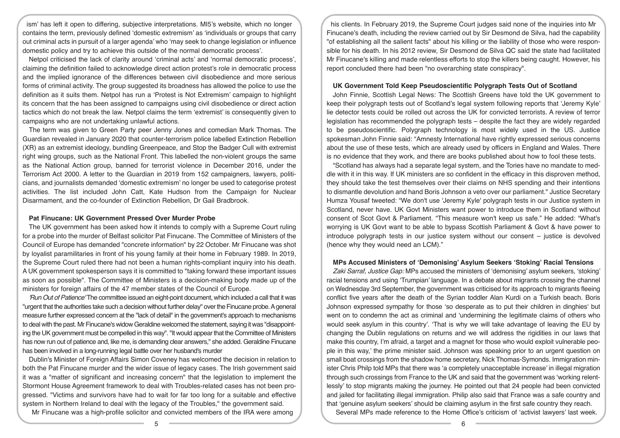ism' has left it open to differing, subjective interpretations. MI5's website, which no longer contains the term, previously defined 'domestic extremism' as 'individuals or groups that carry out criminal acts in pursuit of a larger agenda' who 'may seek to change legislation or influence domestic policy and try to achieve this outside of the normal democratic process'.

Netpol criticised the lack of clarity around 'criminal acts' and 'normal democratic process', claiming the definition failed to acknowledge direct action protest's role in democratic process and the implied ignorance of the differences between civil disobedience and more serious forms of criminal activity. The group suggested its broadness has allowed the police to use the definition as it suits them. Netpol has run a 'Protest is Not Extremism' campaign to highlight its concern that the has been assigned to campaigns using civil disobedience or direct action tactics which do not break the law. Netpol claims the term 'extremist' is consequently given to campaigns who are not undertaking unlawful actions.

The term was given to Green Party peer Jenny Jones and comedian Mark Thomas. The Guardian revealed in January 2020 that counter-terrorism police labelled Extinction Rebellion (XR) as an extremist ideology, bundling Greenpeace, and Stop the Badger Cull with extremist right wing groups, such as the National Front. This labelled the non-violent groups the same as the National Action group, banned for terrorist violence in December 2016, under the Terrorism Act 2000. A letter to the Guardian in 2019 from 152 campaigners, lawyers, politicians, and journalists demanded 'domestic extremism' no longer be used to categorise protest activities. The list included John Catt, Kate Hudson from the Campaign for Nuclear Disarmament, and the co-founder of Extinction Rebellion, Dr Gail Bradbrook.

# **Pat Finucane: UK Government Pressed Over Murder Probe**

The UK government has been asked how it intends to comply with a Supreme Court ruling for a probe into the murder of Belfast solicitor Pat Finucane. The Committee of Ministers of the Council of Europe has demanded "concrete information" by 22 October. Mr Finucane was shot by loyalist paramilitaries in front of his young family at their home in February 1989. In 2019, the Supreme Court ruled there had not been a human rights-compliant inquiry into his death. A UK government spokesperson says it is committed to "taking forward these important issues as soon as possible". The Committee of Ministers is a decision-making body made up of the ministers for foreign affairs of the 47 member states of the Council of Europe.

*'Run Out of Patience'* The committee issued an eight-point document, which included a call that it was "urgent that the authorities take such a decision without further delay" over the Finucane probe. A general measure further expressed concern at the "lack of detail" in the government's approach to mechanisms to deal with the past. Mr Finucane's widow Geraldine welcomed the statement, saying it was "disappointing the UK government must be compelled in this way". "It would appear that the Committee of Ministers has now run out of patience and, like me, is demanding clear answers," she added. Geraldine Finucane has been involved in a long-running legal battle over her husband's murder

Dublin's Minister of Foreign Affairs Simon Coveney has welcomed the decision in relation to both the Pat Finucane murder and the wider issue of legacy cases. The Irish government said it was a "matter of significant and increasing concern" that the legislation to implement the Stormont House Agreement framework to deal with Troubles-related cases has not been progressed. "Victims and survivors have had to wait for far too long for a suitable and effective system in Northern Ireland to deal with the legacy of the Troubles," the government said.

Mr Finucane was a high-profile solicitor and convicted members of the IRA were among

his clients. In February 2019, the Supreme Court judges said none of the inquiries into Mr Finucane's death, including the review carried out by Sir Desmond de Silva, had the capability "of establishing all the salient facts" about his killing or the liability of those who were responsible for his death. In his 2012 review, Sir Desmond de Silva QC said the state had facilitated Mr Finucane's killing and made relentless efforts to stop the killers being caught. However, his report concluded there had been "no overarching state conspiracy".

## **UK Government Told Keep Pseudoscientific Polygraph Tests Out of Scotland**

John Finnie, Scottish Legal News: The Scottish Greens have told the UK government to keep their polygraph tests out of Scotland's legal system following reports that 'Jeremy Kyle' lie detector tests could be rolled out across the UK for convicted terrorists. A review of terror legislation has recommended the polygraph tests – despite the fact they are widely regarded to be pseudoscientific. Polygraph technology is most widely used in the US. Justice spokesman John Finnie said: "Amnesty International have rightly expressed serious concerns about the use of these tests, which are already used by officers in England and Wales. There is no evidence that they work, and there are books published about how to fool these tests.

"Scotland has always had a separate legal system, and the Tories have no mandate to meddle with it in this way. If UK ministers are so confident in the efficacy in this disproven method, they should take the test themselves over their claims on NHS spending and their intentions to dismantle devolution and hand Boris Johnson a veto over our parliament." Justice Secretary Humza Yousaf tweeted: "We don't use 'Jeremy Kyle' polygraph tests in our Justice system in Scotland, never have. UK Govt Ministers want power to introduce them in Scotland without consent of Scot Govt & Parliament. "This measure won't keep us safe." He added: "What's worrying is UK Govt want to be able to bypass Scottish Parliament & Govt & have power to introduce polygraph tests in our justice system without our consent – justice is devolved (hence why they would need an LCM)."

## **MPs Accused Ministers of 'Demonising' Asylum Seekers 'Stoking' Racial Tensions**

*Zaki Sarraf, Justice Gap:* MPs accused the ministers of 'demonising' asylum seekers, 'stoking' racial tensions and using 'Trumpian' language. In a debate about migrants crossing the channel on Wednesday 3rd September, the government was criticised for its approach to migrants fleeing conflict five years after the death of the Syrian toddler Alan Kurdi on a Turkish beach. Boris Johnson expressed sympathy for those 'so desperate as to put their children in dinghies' but went on to condemn the act as criminal and 'undermining the legitimate claims of others who would seek asylum in this country'. 'That is why we will take advantage of leaving the EU by changing the Dublin regulations on returns and we will address the rigidities in our laws that make this country, I'm afraid, a target and a magnet for those who would exploit vulnerable people in this way,' the prime minister said. Johnson was speaking prior to an urgent question on small boat crossings from the shadow home secretary, Nick Thomas-Symonds. Immigration minister Chris Philp told MPs that there was 'a completely unacceptable increase' in illegal migration through such crossings from France to the UK and said that the government was 'working relentlessly' to stop migrants making the journey. He pointed out that 24 people had been convicted and jailed for facilitating illegal immigration. Philip also said that France was a safe country and that 'genuine asylum seekers' should be claiming asylum in the first safe country they reach.

Several MPs made reference to the Home Office's criticism of 'activist lawyers' last week.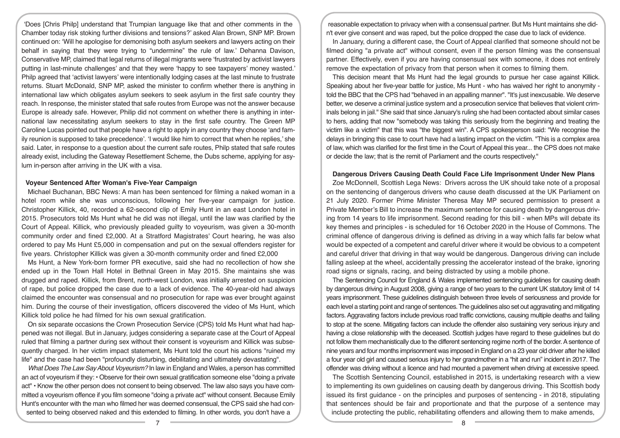'Does [Chris Philp] understand that Trumpian language like that and other comments in the Chamber today risk stoking further divisions and tensions?' asked Alan Brown, SNP MP. Brown continued on: 'Will he apologise for demonising both asylum seekers and lawyers acting on their behalf in saying that they were trying to "undermine" the rule of law.' Dehanna Davison, Conservative MP, claimed that legal returns of illegal migrants were 'frustrated by activist lawyers putting in last-minute challenges' and that they were 'happy to see taxpayers' money wasted.' Philp agreed that 'activist lawyers' were intentionally lodging cases at the last minute to frustrate returns. Stuart McDonald, SNP MP, asked the minister to confirm whether there is anything in international law which obligates asylum seekers to seek asylum in the first safe country they reach. In response, the minister stated that safe routes from Europe was not the answer because Europe is already safe. However, Philip did not comment on whether there is anything in international law necessitating asylum seekers to stay in the first safe country. The Green MP Caroline Lucas pointed out that people have a right to apply in any country they choose 'and family reunion is supposed to take precedence'. 'I would like him to correct that when he replies,' she said. Later, in response to a question about the current safe routes, Philp stated that safe routes already exist, including the Gateway Resettlement Scheme, the Dubs scheme, applying for asylum in-person after arriving in the UK with a visa.

# **Voyeur Sentenced After Woman's Five-Year Campaign**

Michael Buchanan, BBC News: A man has been sentenced for filming a naked woman in a hotel room while she was unconscious, following her five-year campaign for justice. Christopher Killick, 40, recorded a 62-second clip of Emily Hunt in an east London hotel in 2015. Prosecutors told Ms Hunt what he did was not illegal, until the law was clarified by the Court of Appeal. Killick, who previously pleaded guilty to voyeurism, was given a 30-month community order and fined £2,000. At a Stratford Magistrates' Court hearing, he was also ordered to pay Ms Hunt £5,000 in compensation and put on the sexual offenders register for five years. Christopher Killick was given a 30-month community order and fined £2,000

Ms Hunt, a New York-born former PR executive, said she had no recollection of how she ended up in the Town Hall Hotel in Bethnal Green in May 2015. She maintains she was drugged and raped. Killick, from Brent, north-west London, was initially arrested on suspicion of rape, but police dropped the case due to a lack of evidence. The 40-year-old had always claimed the encounter was consensual and no prosecution for rape was ever brought against him. During the course of their investigation, officers discovered the video of Ms Hunt, which Killick told police he had filmed for his own sexual gratification.

On six separate occasions the Crown Prosecution Service (CPS) told Ms Hunt what had happened was not illegal. But in January, judges considering a separate case at the Court of Appeal ruled that filming a partner during sex without their consent is voyeurism and Killick was subsequently charged. In her victim impact statement, Ms Hunt told the court his actions "ruined my life" and the case had been "profoundly disturbing, debilitating and ultimately devastating".

*What Does The Law Say About Voyeurism?* In law in England and Wales, a person has committed an act of voyeurism if they: • Observe for their own sexual gratification someone else "doing a private act" • Know the other person does not consent to being observed. The law also says you have committed a voyeurism offence if you film someone "doing a private act" without consent. Because Emily Hunt's encounter with the man who filmed her was deemed consensual, the CPS said she had consented to being observed naked and this extended to filming. In other words, you don't have a

reasonable expectation to privacy when with a consensual partner. But Ms Hunt maintains she didn't ever give consent and was raped, but the police dropped the case due to lack of evidence.

In January, during a different case, the Court of Appeal clarified that someone should not be filmed doing "a private act" without consent, even if the person filming was the consensual partner. Effectively, even if you are having consensual sex with someone, it does not entirely remove the expectation of privacy from that person when it comes to filming them.

This decision meant that Ms Hunt had the legal grounds to pursue her case against Killick. Speaking about her five-year battle for justice, Ms Hunt - who has waived her right to anonymity told the BBC that the CPS had "behaved in an appalling manner". "It's just inexcusable. We deserve better, we deserve a criminal justice system and a prosecution service that believes that violent criminals belong in jail." She said that since January's ruling she had been contacted about similar cases to hers, adding that now "somebody was taking this seriously from the beginning and treating the victim like a victim" that this was "the biggest win". A CPS spokesperson said: "We recognise the delays in bringing this case to court have had a lasting impact on the victim. "This is a complex area of law, which was clarified for the first time in the Court of Appeal this year... the CPS does not make or decide the law; that is the remit of Parliament and the courts respectively."

# **Dangerous Drivers Causing Death Could Face Life Imprisonment Under New Plans**

Zoe McDonnell, Scottish Lega News: Drivers across the UK should take note of a proposal on the sentencing of dangerous drivers who cause death discussed at the UK Parliament on 21 July 2020. Former Prime Minister Theresa May MP secured permission to present a Private Member's Bill to increase the maximum sentence for causing death by dangerous driving from 14 years to life imprisonment. Second reading for this bill - when MPs will debate its key themes and principles - is scheduled for 16 October 2020 in the House of Commons. The criminal offence of dangerous driving is defined as driving in a way which falls far below what would be expected of a competent and careful driver where it would be obvious to a competent and careful driver that driving in that way would be dangerous. Dangerous driving can include falling asleep at the wheel, accidentally pressing the accelerator instead of the brake, ignoring road signs or signals, racing, and being distracted by using a mobile phone.

The Sentencing Council for England & Wales implemented sentencing guidelines for causing death by dangerous driving in August 2008, giving a range of two years to the current UK statutory limit of 14 years imprisonment. These guidelines distinguish between three levels of seriousness and provide for each level a starting point and range of sentences. The guidelines also set out aggravating and mitigating factors. Aggravating factors include previous road traffic convictions, causing multiple deaths and failing to stop at the scene. Mitigating factors can include the offender also sustaining very serious injury and having a close relationship with the deceased. Scottish judges have regard to these guidelines but do not follow them mechanistically due to the different sentencing regime north of the border. A sentence of nine years and four months imprisonment was imposed in England on a 23 year old driver after he killed a four year old girl and caused serious injury to her grandmother in a "hit and run" incident in 2017. The offender was driving without a licence and had mounted a pavement when driving at excessive speed.

The Scottish Sentencing Council, established in 2015, is undertaking research with a view to implementing its own guidelines on causing death by dangerous driving. This Scottish body issued its first guidance - on the principles and purposes of sentencing - in 2018, stipulating that sentences should be fair and proportionate and that the purpose of a sentence may include protecting the public, rehabilitating offenders and allowing them to make amends,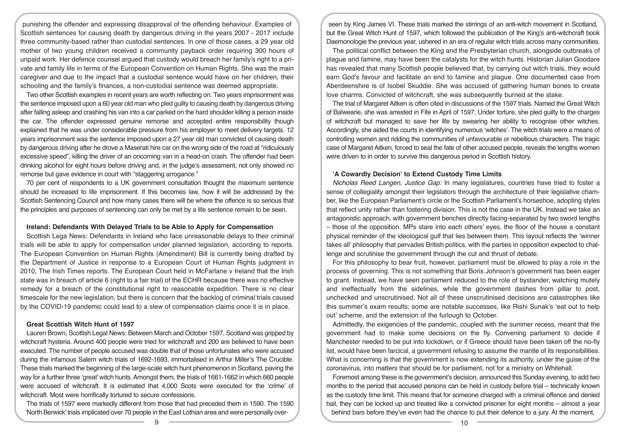punishing the offender and expressing disapproval of the offending behaviour. Examples of Scottish sentences for causing death by dangerous driving in the years 2007 - 2017 include three community-based rather than custodial sentences. In one of those cases, a 29 year old mother of two young children received a community payback order requiring 300 hours of unpaid work. Her defence counsel argued that custody would breach her family's right to a private and family life in terms of the European Convention on Human Rights. She was the main caregiver and due to the impact that a custodial sentence would have on her children, their schooling and the family's finances, a non-custodial sentence was deemed appropriate.

Two other Scottish examples in recent years are worth reflecting on. Two years imprisonment was the sentence imposed upon a 60 year old man who pled guilty to causing death by dangerous driving after falling asleep and crashing his van into a car parked on the hard shoulder killing a person inside the car. The offender expressed genuine remorse and accepted entire responsibility though explained that he was under considerable pressure from his employer to meet delivery targets. 12 years imprisonment was the sentence imposed upon a 27 year old man convicted of causing death by dangerous driving after he drove a Maserati hire car on the wrong side of the road at "ridiculously excessive speed", killing the driver of an oncoming van in a head-on crash. The offender had been drinking alcohol for eight hours before driving and, in the judge's assessment, not only showed no remorse but gave evidence in court with "staggering arrogance."

70 per cent of respondents to a UK government consultation thought the maximum sentence should be increased to life imprisonment. If this becomes law, how it will be addressed by the Scottish Sentencing Council and how many cases there will be where the offence is so serious that the principles and purposes of sentencing can only be met by a life sentence remain to be seen.

# **Ireland: Defendants With Delayed Trials to be Able to Apply for Compensation**

Scottish Lega News: Defendants in Ireland who face unreasonable delays to their criminal trials will be able to apply for compensation under planned legislation, according to reports. The European Convention on Human Rights (Amendment) Bill is currently being drafted by the Department of Justice in response to a European Court of Human Rights judgment in 2010, The Irish Times reports. The European Court held in McFarlane v Ireland that the Irish state was in breach of article 6 (right to a fair trial) of the ECHR because there was no effective remedy for a breach of the constitutional right to reasonable expedition. There is no clear timescale for the new legislation, but there is concern that the backlog of criminal trials caused by the COVID-19 pandemic could lead to a slew of compensation claims once it is in place.

# **Great Scottish Witch Hunt of 1597**

Lauren Brown, Scottish Legal News: Between March and October 1597, Scotland was gripped by witchcraft hysteria. Around 400 people were tried for witchcraft and 200 are believed to have been executed. The number of people accused was double that of those unfortunates who were accused during the infamous Salem witch trials of 1692-1693, immortalised in Arthur Miller's The Crucible. These trials marked the beginning of the large-scale witch hunt phenomenon in Scotland, paving the way for a further three 'great' witch hunts. Amongst them, the trials of 1661-1662 in which 660 people were accused of witchcraft. It is estimated that 4,000 Scots were executed for the 'crime' of witchcraft. Most were horrifically tortured to secure confessions.

The trials of 1597 were markedly different from those that had preceded them in 1590. The 1590 'North Berwick' trials implicated over 70 people in the East Lothian area and were personally over-

seen by King James VI. These trials marked the stirrings of an anti-witch movement in Scotland, but the Great Witch Hunt of 1597, which followed the publication of the King's anti-witchcraft book Daemonologie the previous year, ushered in an era of regular witch trials across many communities.

The political conflict between the King and the Presbyterian church, alongside outbreaks of plague and famine, may have been the catalysts for the witch hunts. Historian Julian Goodare has revealed that many Scottish people believed that, by carrying out witch trials, they would earn God's favour and facilitate an end to famine and plague. One documented case from Aberdeenshire is of Isobel Skuddie. She was accused of gathering human bones to create love charms. Convicted of witchcraft, she was subsequently burned at the stake.

The trial of Margaret Aitken is often cited in discussions of the 1597 trials. Named the Great Witch of Balwearie, she was arrested in Fife in April of 1597. Under torture, she pled guilty to the charges of witchcraft but managed to save her life by swearing her ability to recognise other witches. Accordingly, she aided the courts in identifying numerous 'witches'. The witch trials were a means of controlling women and ridding the communities of unfavourable or rebellious characters. The tragic case of Margaret Aitken, forced to seal the fate of other accused people, reveals the lengths women were driven to in order to survive this dangerous period in Scottish history.

# **'A Cowardly Decision' to Extend Custody Time Limits**

*Nicholas Reed Langen, Justice Gap:* In many legislatures, countries have tried to foster a sense of collegiality amongst their legislators through the architecture of their legislative chamber, like the European Parliament's circle or the Scottish Parliament's horseshoe, adopting styles that reflect unity rather than fostering division. This is not the case in the UK. Instead we take an antagonistic approach, with government benches directly facing-separated by two sword lengths – those of the opposition. MPs stare into each others' eyes, the floor of the house a constant physical reminder of the ideological gulf that lies between them. This layout reflects the 'winner takes all' philosophy that pervades British politics, with the parties in opposition expected to challenge and scrutinise the government through the cut and thrust of debate.

For this philosophy to bear fruit, however, parliament must be allowed to play a role in the process of governing. This is not something that Boris Johnson's government has been eager to grant. Instead, we have seen parliament reduced to the role of bystander, watching mutely and ineffectually from the sidelines, while the government dashes from pillar to post, unchecked and unscrutinised. Not all of these unscrutinised decisions are catastrophes like this summer's exam results; some are notable successes, like Rishi Sunak's 'eat out to help out' scheme, and the extension of the furlough to October.

Admittedly, the exigencies of the pandemic, coupled with the summer recess, meant that the government had to make some decisions on the fly. Convening parliament to decide if Manchester needed to be put into lockdown, or if Greece should have been taken off the no-fly list, would have been farcical, a government refusing to assume the mantle of its responsibilities. What is concerning is that the government is now extending its authority, under the guise of the coronavirus, into matters that should be for parliament, not for a ministry on Whitehall.

Foremost among these is the government's decision, announced this Sunday evening, to add two months to the period that accused persons can be held in custody before trial – technically known as the custody time limit. This means that for someone charged with a criminal offence and denied bail, they can be locked up and treated like a convicted prisoner for eight months – almost a year behind bars before they've even had the chance to put their defence to a jury. At the moment,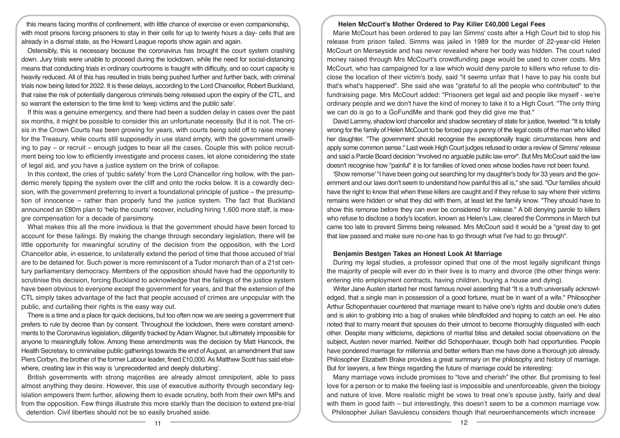this means facing months of confinement, with little chance of exercise or even companionship, with most prisons forcing prisoners to stay in their cells for up to twenty hours a day- cells that are already in a dismal state, as the Howard League reports show again and again.

Ostensibly, this is necessary because the coronavirus has brought the court system crashing down. Jury trials were unable to proceed during the lockdown, while the need for social-distancing means that conducting trials in ordinary courtrooms is fraught with difficulty, and so court capacity is heavily reduced. All of this has resulted in trials being pushed further and further back, with criminal trials now being listed for 2022. It is these delays, according to the Lord Chancellor, Robert Buckland, that raise the risk of potentially dangerous criminals being released upon the expiry of the CTL, and so warrant the extension to the time limit to 'keep victims and the public safe'.

If this was a genuine emergency, and there had been a sudden delay in cases over the past six months, it might be possible to consider this an unfortunate necessity. But it is not. The crisis in the Crown Courts has been growing for years, with courts being sold off to raise money for the Treasury, while courts still supposedly in use stand empty, with the government unwilling to pay – or recruit – enough judges to hear all the cases. Couple this with police recruitment being too low to efficiently investigate and process cases, let alone considering the state of legal aid, and you have a justice system on the brink of collapse.

In this context, the cries of 'public safety' from the Lord Chancellor ring hollow, with the pandemic merely tipping the system over the cliff and onto the rocks below. It is a cowardly decision, with the government preferring to invert a foundational principle of justice – the presumption of innocence – rather than properly fund the justice system. The fact that Buckland announced an £80m plan to 'help the courts' recover, including hiring 1,600 more staff, is meagre compensation for a decade of parsimony.

What makes this all the more invidious is that the government should have been forced to account for these failings. By making the change through secondary legislation, there will be little opportunity for meaningful scrutiny of the decision from the opposition, with the Lord Chancellor able, in essence, to unilaterally extend the period of time that those accused of trial are to be detained for. Such power is more reminiscent of a Tudor monarch than of a 21st century parliamentary democracy. Members of the opposition should have had the opportunity to scrutinise this decision, forcing Buckland to acknowledge that the failings of the justice system have been obvious to everyone except the government for years, and that the extension of the CTL simply takes advantage of the fact that people accused of crimes are unpopular with the public, and curtailing their rights is the easy way out.

There is a time and a place for quick decisions, but too often now we are seeing a government that prefers to rule by decree than by consent. Throughout the lockdown, there were constant amendments to the Coronavirus legislation, diligently tracked by Adam Wagner, but ultimately impossible for anyone to meaningfully follow. Among these amendments was the decision by Matt Hancock, the Health Secretary, to criminalise public gatherings towards the end of August, an amendment that saw Piers Corbyn, the brother of the former Labour leader, fined £10,000. As Matthew Scott has said elsewhere, creating law in this way is 'unprecedented and deeply disturbing'.

British governments with strong majorities are already almost omnipotent, able to pass almost anything they desire. However, this use of executive authority through secondary legislation empowers them further, allowing them to evade scrutiny, both from their own MPs and from the opposition. Few things illustrate this more starkly than the decision to extend pre-trial detention. Civil liberties should not be so easily brushed aside.

#### **Helen McCourt's Mother Ordered to Pay Killer £40,000 Legal Fees**

Marie McCourt has been ordered to pay Ian Simms' costs after a High Court bid to stop his release from prison failed. Simms was jailed in 1989 for the murder of 22-year-old Helen McCourt on Merseyside and has never revealed where her body was hidden. The court ruled money raised through Mrs McCourt's crowdfunding page would be used to cover costs. Mrs McCourt, who has campaigned for a law which would deny parole to killers who refuse to disclose the location of their victim's body, said "it seems unfair that I have to pay his costs but that's what's happened". She said she was "grateful to all the people who contributed" to the fundraising page. Mrs McCourt added: "Prisoners get legal aid and people like myself - we're ordinary people and we don't have the kind of money to take it to a High Court. "The only thing we can do is go to a GoFundMe and thank god they did give me that."

David Lammy, shadow lord chancellor and shadow secretary of state for justice, tweeted: "It is totally wrong for the family of Helen McCourt to be forced pay a penny of the legal costs of the man who killed her daughter. "The government should recognise the exceptionally tragic circumstances here and apply some common sense." Last week High Court judges refused to order a review of Simms' release and said a Parole Board decision "involved no arguable public law error". But Mrs McCourt said the law doesn't recognise how "painful" it is for families of loved ones whose bodies have not been found.

'Show remorse' "I have been going out searching for my daughter's body for 33 years and the government and our laws don't seem to understand how painful this all is," she said. "Our families should have the right to know that when these killers are caught and if they refuse to say where their victims remains were hidden or what they did with them, at least let the family know. "They should have to show this remorse before they can ever be considered for release." A bill denying parole to killers who refuse to disclose a body's location, known as Helen's Law, cleared the Commons in March but came too late to prevent Simms being released. Mrs McCourt said it would be a "great day to get that law passed and make sure no-one has to go through what I've had to go through".

# **Benjamin Bestgen Takes an Honest Look At Marriage**

During my legal studies, a professor opined that one of the most legally significant things the majority of people will ever do in their lives is to marry and divorce (the other things were: entering into employment contracts, having children, buying a house and dying).

Writer Jane Austen started her most famous novel asserting that "It is a truth universally acknowledged, that a single man in possession of a good fortune, must be in want of a wife." Philosopher Arthur Schopenhauer countered that marriage meant to halve one's rights and double one's duties and is akin to grabbing into a bag of snakes while blindfolded and hoping to catch an eel. He also noted that to marry meant that spouses do their utmost to become thoroughly disgusted with each other. Despite many witticisms, depictions of marital bliss and detailed social observations on the subject, Austen never married. Neither did Schopenhauer, though both had opportunities. People have pondered marriage for millennia and better writers than me have done a thorough job already. Philosopher Elizabeth Brake provides a great summary on the philosophy and history of marriage. But for lawyers, a few things regarding the future of marriage could be interesting:

Many marriage vows include promises to "love and cherish" the other. But promising to feel love for a person or to make the feeling last is impossible and unenforceable, given the biology and nature of love. More realistic might be vows to treat one's spouse justly, fairly and deal with them in good faith – but interestingly, this doesn't seem to be a common marriage vow. Philosopher Julian Savulescu considers though that neuroenhancements which increase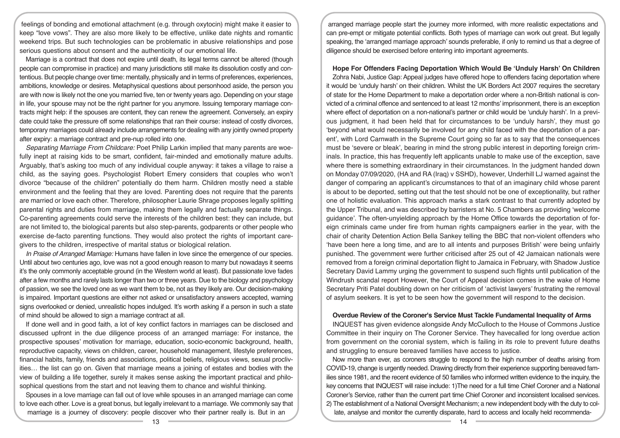feelings of bonding and emotional attachment (e.g. through oxytocin) might make it easier to keep "love vows". They are also more likely to be effective, unlike date nights and romantic weekend trips. But such technologies can be problematic in abusive relationships and pose serious questions about consent and the authenticity of our emotional life.

Marriage is a contract that does not expire until death, its legal terms cannot be altered (though people can compromise in practice) and many jurisdictions still make its dissolution costly and contentious. But people change over time: mentally, physically and in terms of preferences, experiences, ambitions, knowledge or desires. Metaphysical questions about personhood aside, the person you are with now is likely not the one you married five, ten or twenty years ago. Depending on your stage in life, your spouse may not be the right partner for you anymore. Issuing temporary marriage contracts might help: if the spouses are content, they can renew the agreement. Conversely, an expiry date could take the pressure off some relationships that ran their course: instead of costly divorces, temporary marriages could already include arrangements for dealing with any jointly owned property after expiry: a marriage contract and pre-nup rolled into one.

*Separating Marriage From Childcare:* Poet Philip Larkin implied that many parents are woefully inept at raising kids to be smart, confident, fair-minded and emotionally mature adults. Arguably, that's asking too much of any individual couple anyway: it takes a village to raise a child, as the saying goes. Psychologist Robert Emery considers that couples who won't divorce "because of the children" potentially do them harm. Children mostly need a stable environment and the feeling that they are loved. Parenting does not require that the parents are married or love each other. Therefore, philosopher Laurie Shrage proposes legally splitting parental rights and duties from marriage, making them legally and factually separate things. Co-parenting agreements could serve the interests of the children best: they can include, but are not limited to, the biological parents but also step-parents, godparents or other people who exercise de-facto parenting functions. They would also protect the rights of important caregivers to the children, irrespective of marital status or biological relation.

*In Praise of Arranged Marriage:* Humans have fallen in love since the emergence of our species. Until about two centuries ago, love was not a good enough reason to marry but nowadays it seems it's the only commonly acceptable ground (in the Western world at least). But passionate love fades after a few months and rarely lasts longer than two or three years. Due to the biology and psychology of passion, we see the loved one as we want them to be, not as they likely are. Our decision-making is impaired. Important questions are either not asked or unsatisfactory answers accepted, warning signs overlooked or denied, unrealistic hopes indulged. It's worth asking if a person in such a state of mind should be allowed to sign a marriage contract at all.

If done well and in good faith, a lot of key conflict factors in marriages can be disclosed and discussed upfront in the due diligence process of an arranged marriage: For instance, the prospective spouses' motivation for marriage, education, socio-economic background, health, reproductive capacity, views on children, career, household management, lifestyle preferences, financial habits, family, friends and associations, political beliefs, religious views, sexual proclivities… the list can go on. Given that marriage means a joining of estates and bodies with the view of building a life together, surely it makes sense asking the important practical and philosophical questions from the start and not leaving them to chance and wishful thinking.

Spouses in a love marriage can fall out of love while spouses in an arranged marriage can come to love each other. Love is a great bonus, but legally irrelevant to a marriage. We commonly say that marriage is a journey of discovery: people discover who their partner really is. But in an

arranged marriage people start the journey more informed, with more realistic expectations and can pre-empt or mitigate potential conflicts. Both types of marriage can work out great. But legally speaking, the 'arranged marriage approach' sounds preferable, if only to remind us that a degree of diligence should be exercised before entering into important agreements.

**Hope For Offenders Facing Deportation Which Would Be 'Unduly Harsh' On Children**  Zohra Nabi, Justice Gap: Appeal judges have offered hope to offenders facing deportation where it would be 'unduly harsh' on their children. Whilst the UK Borders Act 2007 requires the secretary of state for the Home Department to make a deportation order where a non-British national is convicted of a criminal offence and sentenced to at least 12 months' imprisonment, there is an exception where effect of deportation on a non-national's partner or child would be 'unduly harsh'. In a previous judgment, it had been held that for circumstances to be 'unduly harsh', they must go 'beyond what would necessarily be involved for any child faced with the deportation of a parent', with Lord Carnwath in the Supreme Court going so far as to say that the consequences must be 'severe or bleak', bearing in mind the strong public interest in deporting foreign criminals. In practice, this has frequently left applicants unable to make use of the exception, save where there is something extraordinary in their circumstances. In the judgment handed down on Monday 07/09/2020, (HA and RA (Iraq) v SSHD), however, Underhill LJ warned against the danger of comparing an applicant's circumstances to that of an imaginary child whose parent is about to be deported, setting out that the test should not be one of exceptionality, but rather one of holistic evaluation. This approach marks a stark contrast to that currently adopted by the Upper Tribunal, and was described by barristers at No. 5 Chambers as providing 'welcome guidance'. The often-unyielding approach by the Home Office towards the deportation of foreign criminals came under fire from human rights campaigners earlier in the year, with the chair of charity Detention Action Bella Sankey telling the BBC that non-violent offenders who 'have been here a long time, and are to all intents and purposes British' were being unfairly punished. The government were further criticised after 25 out of 42 Jamaican nationals were removed from a foreign criminal deportation flight to Jamaica in February, with Shadow Justice Secretary David Lammy urging the government to suspend such flights until publication of the Windrush scandal report However, the Court of Appeal decision comes in the wake of Home Secretary Priti Patel doubling down on her criticism of 'activist lawyers' frustrating the removal of asylum seekers. It is yet to be seen how the government will respond to the decision.

## **Overdue Review of the Coroner's Service Must Tackle Fundamental Inequality of Arms**

INQUEST has given evidence alongside Andy McCulloch to the House of Commons Justice Committee in their inquiry on The Coroner Service. They havecalled for long overdue action from government on the coronial system, which is failing in its role to prevent future deaths and struggling to ensure bereaved families have access to justice.

Now more than ever, as coroners struggle to respond to the high number of deaths arising from COVID-19, change is urgently needed. Drawing directly from their experience supporting bereaved families since 1981, and the recent evidence of 50 families who informed written evidence to the inquiry, the key concerns that INQUEST will raise include: 1)The need for a full time Chief Coroner and a National Coroner's Service, rather than the current part time Chief Coroner and inconsistent localised services. 2) The establishment of a National Oversight Mechanism; a new independent body with the duty to collate, analyse and monitor the currently disparate, hard to access and locally held recommenda-